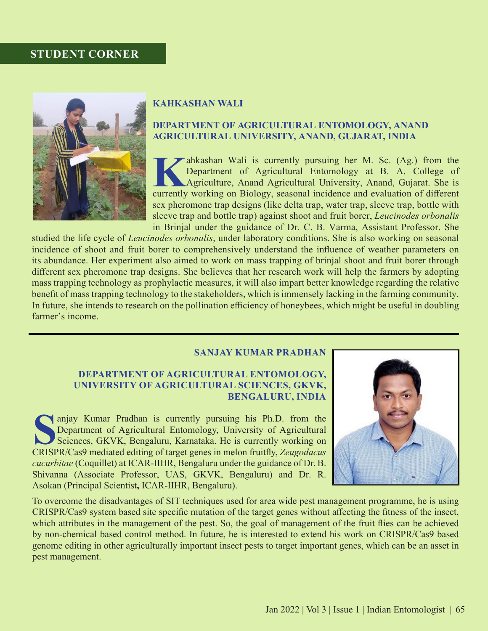## **Student corner**



### **KAHKASHAN WALI**

## **DEPARTMENT OF AGRICULTURAL ENTOMOLOGY, ANAND AGRICULTURAL UNIVERSITY, ANAND, GUJARAT, INDIA**

**Kahkashan Wali is currently pursuing her M. Sc. (Ag.) from the Department of Agricultural Entomology at B. A. College of Agriculture, Anand Agricultural University, Anand, Gujarat. She is currently working on Biology, sea** Department of Agricultural Entomology at B. A. College of Agriculture, Anand Agricultural University, Anand, Gujarat. She is currently working on Biology, seasonal incidence and evaluation of different sex pheromone trap designs (like delta trap, water trap, sleeve trap, bottle with sleeve trap and bottle trap) against shoot and fruit borer, *Leucinodes orbonalis* in Brinjal under the guidance of Dr. C. B. Varma, Assistant Professor. She

studied the life cycle of *Leucinodes orbonalis*, under laboratory conditions. She is also working on seasonal incidence of shoot and fruit borer to comprehensively understand the influence of weather parameters on its abundance. Her experiment also aimed to work on mass trapping of brinjal shoot and fruit borer through different sex pheromone trap designs. She believes that her research work will help the farmers by adopting mass trapping technology as prophylactic measures, it will also impart better knowledge regarding the relative benefit of mass trapping technology to the stakeholders, which is immensely lacking in the farming community. In future, she intends to research on the pollination efficiency of honeybees, which might be useful in doubling farmer's income.

### **SANJAY KUMAR PRADHAN**

### **DEPARTMENT OF AGRICULTURAL ENTOMOLOGY, UNIVERSITY OF AGRICULTURAL SCIENCES, GKVK, BENGALURU, INDIA**

**Sandapa Sciences**, GKVK, Bengaluru, Karnataka. He is currently working on CRISPR/Cas9 mediated editing of target genes in melon fruitfly *Zeugodacus* Department of Agricultural Entomology, University of Agricultural Sciences, GKVK, Bengaluru, Karnataka. He is currently working on CRISPR/Cas9 mediated editing of target genes in melon fruitfly, *Zeugodacus cucurbitae* (Coquillet) at ICAR-IIHR, Bengaluru under the guidance of Dr. B. Shivanna (Associate Professor, UAS, GKVK, Bengaluru) and Dr. R. Asokan (Principal Scientist**,** ICAR-IIHR, Bengaluru).



To overcome the disadvantages of SIT techniques used for area wide pest management programme, he is using CRISPR/Cas9 system based site specific mutation of the target genes without affecting the fitness of the insect, which attributes in the management of the pest. So, the goal of management of the fruit flies can be achieved by non-chemical based control method. In future, he is interested to extend his work on CRISPR/Cas9 based genome editing in other agriculturally important insect pests to target important genes, which can be an asset in pest management.